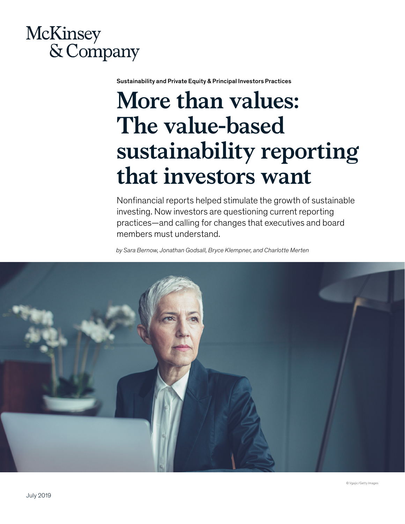# **McKinsey** & Company

Sustainability and Private Equity & Principal Investors Practices

# **More than values: The value-based sustainability reporting that investors want**

Nonfinancial reports helped stimulate the growth of sustainable investing. Now investors are questioning current reporting practices—and calling for changes that executives and board members must understand.

*by Sara Bernow, Jonathan Godsall, Bryce Klempner, and Charlotte Merten*

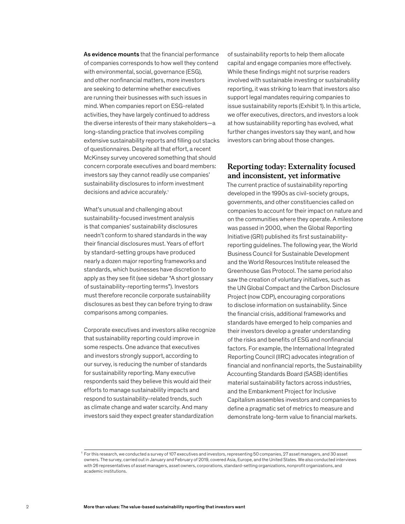As evidence mounts that the financial performance of companies corresponds to how well they contend with environmental, social, governance (ESG), and other nonfinancial matters, more investors are seeking to determine whether executives are running their businesses with such issues in mind. When companies report on ESG-related activities, they have largely continued to address the diverse interests of their many stakeholders—a long-standing practice that involves compiling extensive sustainability reports and filling out stacks of questionnaires. Despite all that effort, a recent McKinsey survey uncovered something that should concern corporate executives and board members: investors say they cannot readily use companies' sustainability disclosures to inform investment decisions and advice accurately.<sup>1</sup>

What's unusual and challenging about sustainability-focused investment analysis is that companies' sustainability disclosures needn't conform to shared standards in the way their financial disclosures must. Years of effort by standard-setting groups have produced nearly a dozen major reporting frameworks and standards, which businesses have discretion to apply as they see fit (see sidebar "A short glossary of sustainability-reporting terms"). Investors must therefore reconcile corporate sustainability disclosures as best they can before trying to draw comparisons among companies.

Corporate executives and investors alike recognize that sustainability reporting could improve in some respects. One advance that executives and investors strongly support, according to our survey, is reducing the number of standards for sustainability reporting. Many executive respondents said they believe this would aid their efforts to manage sustainability impacts and respond to sustainability-related trends, such as climate change and water scarcity. And many investors said they expect greater standardization

of sustainability reports to help them allocate capital and engage companies more effectively. While these findings might not surprise readers involved with sustainable investing or sustainability reporting, it was striking to learn that investors also support legal mandates requiring companies to issue sustainability reports (Exhibit 1). In this article, we offer executives, directors, and investors a look at how sustainability reporting has evolved, what further changes investors say they want, and how investors can bring about those changes.

## **Reporting today: Externality focused and inconsistent, yet informative**

The current practice of sustainability reporting developed in the 1990s as civil-society groups, governments, and other constituencies called on companies to account for their impact on nature and on the communities where they operate. A milestone was passed in 2000, when the Global Reporting Initiative (GRI) published its first sustainabilityreporting guidelines. The following year, the World Business Council for Sustainable Development and the World Resources Institute released the Greenhouse Gas Protocol. The same period also saw the creation of voluntary initiatives, such as the UN Global Compact and the Carbon Disclosure Project (now CDP), encouraging corporations to disclose information on sustainability. Since the financial crisis, additional frameworks and standards have emerged to help companies and their investors develop a greater understanding of the risks and benefits of ESG and nonfinancial factors. For example, the International Integrated Reporting Council (IIRC) advocates integration of financial and nonfinancial reports, the Sustainability Accounting Standards Board (SASB) identifies material sustainability factors across industries, and the Embankment Project for Inclusive Capitalism assembles investors and companies to define a pragmatic set of metrics to measure and demonstrate long-term value to financial markets.

<sup>&</sup>lt;sup>1</sup> For this research, we conducted a survey of 107 executives and investors, representing 50 companies, 27 asset managers, and 30 asset owners. The survey, carried out in January and February of 2019, covered Asia, Europe, and the United States. We also conducted interviews with 26 representatives of asset managers, asset owners, corporations, standard-setting organizations, nonprofit organizations, and academic institutions.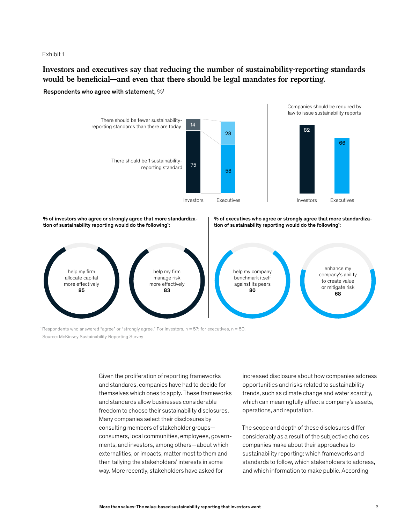Exhibit 1

**Investors and executives say that reducing the number of sustainability-reporting standards**  would be beneficial—and even that there should be legal mandates for reporting.

Respondents who agree with statement, %1



% of investors who agree or strongly agree that more standardization of sustainability reporting would do the following<sup>1</sup>:

% of executives who agree or strongly agree that more standardization of sustainability reporting would do the following<sup>1</sup>:



1 Respondents who answered "agree" or "strongly agree." For investors, n = 57; for executives, n = 50. Source: McKinsey Sustainability Reporting Survey

> Given the proliferation of reporting frameworks and standards, companies have had to decide for themselves which ones to apply. These frameworks and standards allow businesses considerable freedom to choose their sustainability disclosures. Many companies select their disclosures by consulting members of stakeholder groups consumers, local communities, employees, governments, and investors, among others—about which externalities, or impacts, matter most to them and then tallying the stakeholders' interests in some way. More recently, stakeholders have asked for

increased disclosure about how companies address opportunities and risks related to sustainability trends, such as climate change and water scarcity, which can meaningfully affect a company's assets, operations, and reputation.

The scope and depth of these disclosures differ considerably as a result of the subjective choices companies make about their approaches to sustainability reporting: which frameworks and standards to follow, which stakeholders to address, and which information to make public. According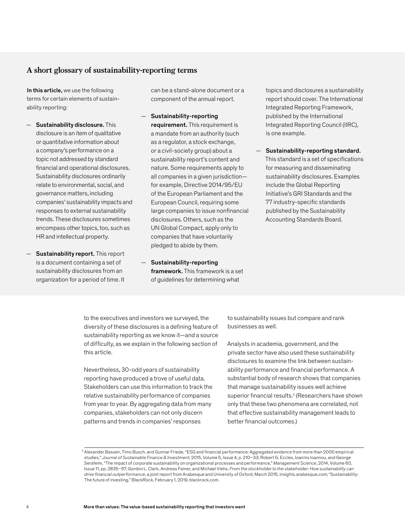## **A short glossary of sustainability-reporting terms**

In this article, we use the following terms for certain elements of sustainability reporting:

- Sustainability disclosure. This disclosure is an item of qualitative or quantitative information about a company's performance on a topic not addressed by standard financial and operational disclosures. Sustainability disclosures ordinarily relate to environmental, social, and governance matters, including companies' sustainability impacts and responses to external sustainability trends. These disclosures sometimes encompass other topics, too, such as HR and intellectual property.
- Sustainability report. This report is a document containing a set of sustainability disclosures from an organization for a period of time. It

can be a stand-alone document or a component of the annual report.

- Sustainability-reporting requirement. This requirement is a mandate from an authority (such as a regulator, a stock exchange, or a civil-society group) about a sustainability report's content and nature. Some requirements apply to all companies in a given jurisdiction for example, Directive 2014/95/EU of the European Parliament and the European Council, requiring some large companies to issue nonfinancial disclosures. Others, such as the UN Global Compact, apply only to companies that have voluntarily pledged to abide by them.
- Sustainability-reporting framework. This framework is a set of guidelines for determining what

topics and disclosures a sustainability report should cover. The International Integrated Reporting Framework, published by the International Integrated Reporting Council (IIRC), is one example.

— Sustainability-reporting standard. This standard is a set of specifications for measuring and disseminating sustainability disclosures. Examples include the Global Reporting Initiative's GRI Standards and the 77 industry-specific standards published by the Sustainability Accounting Standards Board.

to the executives and investors we surveyed, the diversity of these disclosures is a defining feature of sustainability reporting as we know it—and a source of difficulty, as we explain in the following section of this article.

Nevertheless, 30-odd years of sustainability reporting have produced a trove of useful data. Stakeholders can use this information to track the relative sustainability performance of companies from year to year. By aggregating data from many companies, stakeholders can not only discern patterns and trends in companies' responses

to sustainability issues but compare and rank businesses as well.

Analysts in academia, government, and the private sector have also used these sustainability disclosures to examine the link between sustainability performance and financial performance. A substantial body of research shows that companies that manage sustainability issues well achieve superior financial results.<sup>2</sup> (Researchers have shown only that these two phenomena are correlated, not that effective sustainability management leads to better financial outcomes.)

<sup>2</sup> Alexander Bassen, Timo Busch, and Gunnar Friede, "ESG and financial performance: Aggregated evidence from more than 2000 empirical studies," *Journal of Sustainable Finance & Investment*, 2015, Volume 5, Issue 4, p. 210–33; Robert G. Eccles, Ioannis Ioannou, and George Serafeim, "The impact of corporate sustainability on organizational processes and performance," *Management Science*, 2014, Volume 60, Issue 11, pp. 2835–57; Gordon L. Clark, Andreas Feiner, and Michael Viehs, *From the stockholder to the stakeholder: How sustainability can drive financial outperformance*, a joint report from Arabesque and University of Oxford, March 2015, insights.arabesque.com; "Sustainability: The future of investing," BlackRock, February 1, 2019, blackrock.com.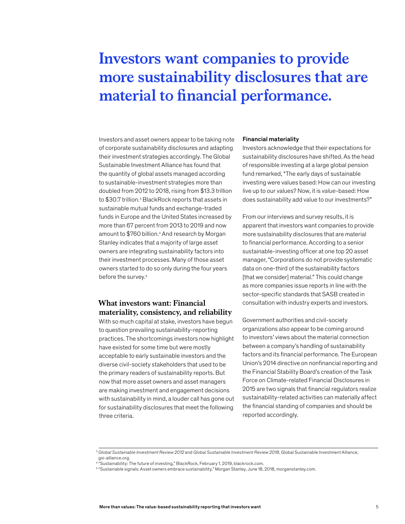# **Investors want companies to provide more sustainability disclosures that are material to financial performance.**

Investors and asset owners appear to be taking note of corporate sustainability disclosures and adapting their investment strategies accordingly. The Global Sustainable Investment Alliance has found that the quantity of global assets managed according to sustainable-investment strategies more than doubled from 2012 to 2018, rising from \$13.3 trillion to \$30.7 trillion.<sup>3</sup> BlackRock reports that assets in sustainable mutual funds and exchange-traded funds in Europe and the United States increased by more than 67 percent from 2013 to 2019 and now amount to \$760 billion.4 And research by Morgan Stanley indicates that a majority of large asset owners are integrating sustainability factors into their investment processes. Many of those asset owners started to do so only during the four years before the survey.<sup>5</sup>

# **What investors want: Financial materiality, consistency, and reliability**

With so much capital at stake, investors have begun to question prevailing sustainability-reporting practices. The shortcomings investors now highlight have existed for some time but were mostly acceptable to early sustainable investors and the diverse civil-society stakeholders that used to be the primary readers of sustainability reports. But now that more asset owners and asset managers are making investment and engagement decisions with sustainability in mind, a louder call has gone out for sustainability disclosures that meet the following three criteria.

#### Financial materiality

Investors acknowledge that their expectations for sustainability disclosures have shifted. As the head of responsible investing at a large global pension fund remarked, "The early days of sustainable investing were values based: How can our investing live up to our values? Now, it is *value*-based: How does sustainability add value to our investments?"

From our interviews and survey results, it is apparent that investors want companies to provide more sustainability disclosures that are material to financial performance. According to a senior sustainable-investing officer at one top 20 asset manager, "Corporations do not provide systematic data on one-third of the sustainability factors [that we consider] material." This could change as more companies issue reports in line with the sector-specific standards that SASB created in consultation with industry experts and investors.

Government authorities and civil-society organizations also appear to be coming around to investors' views about the material connection between a company's handling of sustainability factors and its financial performance. The European Union's 2014 directive on nonfinancial reporting and the Financial Stability Board's creation of the Task Force on Climate-related Financial Disclosures in 2015 are two signals that financial regulators realize sustainability-related activities can materially affect the financial standing of companies and should be reported accordingly.

<sup>3</sup> *Global Sustainable Investment Review 2012* and *Global Sustainable Investment Review 2018*, Global Sustainable Investment Alliance, gsi-alliance.org.<br><sup>4 </sup> "Sustainability: The future of investing," BlackRock, February 1, 2019, blackrock.com.

<sup>5</sup> "Sustainable signals: Asset owners embrace sustainability," Morgan Stanley, June 18, 2018, morganstanley.com.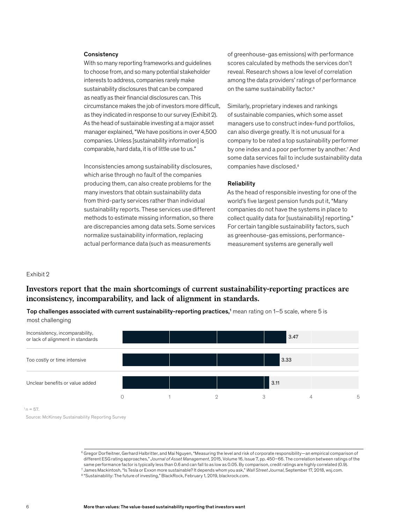#### **Consistency**

With so many reporting frameworks and guidelines to choose from, and so many potential stakeholder interests to address, companies rarely make sustainability disclosures that can be compared as neatly as their financial disclosures can. This circumstance makes the job of investors more difficult, as they indicated in response to our survey (Exhibit 2). As the head of sustainable investing at a major asset manager explained, "We have positions in over 4,500 companies. Unless [sustainability information] is comparable, hard data, it is of little use to us."

Inconsistencies among sustainability disclosures, which arise through no fault of the companies producing them, can also create problems for the many investors that obtain sustainability data from third-party services rather than individual sustainability reports. These services use different methods to estimate missing information, so there are discrepancies among data sets. Some services For certain tangible sustainable normalize sustainability information, replacing actual performance data (such as measurements

of greenhouse-gas emissions) with performance scores calculated by methods the services don't reveal. Research shows a low level of correlation among the data providers' ratings of performance on the same sustainability factor.<sup>6</sup>

Similarly, proprietary indexes and rankings of sustainable companies, which some asset managers use to construct index-fund portfolios, can also diverge greatly. It is not unusual for a company to be rated a top sustainability performer by one index and a poor performer by another.<sup>7</sup> And some data services fail to include sustainability data companies have disclosed.8

#### **Reliability**

As the head of responsible investing for one of the world's five largest pension funds put it, "Many companies do not have the systems in place to collect quality data for [sustainability] reporting." For certain tangible sustainability factors, such as greenhouse-gas emissions, performancemeasurement systems are generally well

#### Exhibit 2

# **Investors report that the main shortcomings of current sustainability-reporting practices are inconsistency, incomparability, and lack of alignment in standards.**

Top challenges associated with current sustainability-reporting practices,1 mean rating on 1–5 scale, where 5 is most challenging



Source: McKinsey Sustainability Reporting Survey

<sup>6</sup> Gregor Dorfleitner, Gerhard Halbritter, and Mai Nguyen, "Measuring the level and risk of corporate responsibility—an empirical comparison of different ESG rating approaches," *Journal of Asset Management*, 2015, Volume 16, Issue 7, pp. 450–66. The correlation between ratings of the same performance factor is typically less than 0.6 and can fall to as low as 0.05. By comparison, credit ratings are highly correlated (0.9). 7 James Mackintosh, "Is Tesla or Exxon more sustainable? It depends whom you ask," Wall Street Journal, September 17, 2018, wsj.com.<br><sup>8</sup> "Sustainability: The future of investing," BlackRock, February 1, 2019, blackrock.com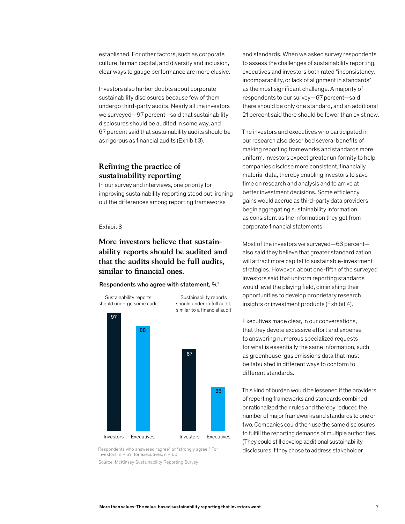established. For other factors, such as corporate culture, human capital, and diversity and inclusion, clear ways to gauge performance are more elusive.

Investors also harbor doubts about corporate sustainability disclosures because few of them undergo third-party audits. Nearly all the investors we surveyed—97 percent—said that sustainability disclosures should be audited in some way, and 67 percent said that sustainability audits should be as rigorous as financial audits (Exhibit 3).

# **Refining the practice of**  $s$ ustainability reporting

In our survey and interviews, one priority for improving sustainability reporting stood out: ironing out the differences among reporting frameworks

#### Exhibit 3

# **More investors believe that sustainability reports should be audited and that the audits should be full audits,**  similar to financial ones.

#### Respondents who agree with statement, %1



<sup>1</sup> Respondents who answered "agree" or "strongly agree." For investors,  $n = 57$ ; for executives,  $n = 50$ .

Source: McKinsey Sustainability Reporting Survey

and standards. When we asked survey respondents to assess the challenges of sustainability reporting, executives and investors both rated "inconsistency, incomparability, or lack of alignment in standards" as the most significant challenge. A majority of respondents to our survey—67 percent—said there should be only one standard, and an additional 21 percent said there should be fewer than exist now.

The investors and executives who participated in our research also described several benefits of making reporting frameworks and standards more uniform. Investors expect greater uniformity to help companies disclose more consistent, financially material data, thereby enabling investors to save time on research and analysis and to arrive at better investment decisions. Some efficiency gains would accrue as third-party data providers begin aggregating sustainability information as consistent as the information they get from corporate financial statements.

Most of the investors we surveyed—63 percent also said they believe that greater standardization will attract more capital to sustainable-investment strategies. However, about one-fifth of the surveyed investors said that uniform reporting standards would level the playing field, diminishing their opportunities to develop proprietary research insights or investment products (Exhibit 4).

Executives made clear, in our conversations, that they devote excessive effort and expense to answering numerous specialized requests for what is essentially the same information, such as greenhouse-gas emissions data that must be tabulated in different ways to conform to different standards.

This kind of burden would be lessened if the providers of reporting frameworks and standards combined or rationalized their rules and thereby reduced the number of major frameworks and standards to one or two. Companies could then use the same disclosures to fulfill the reporting demands of multiple authorities. (They could still develop additional sustainability disclosures if they chose to address stakeholder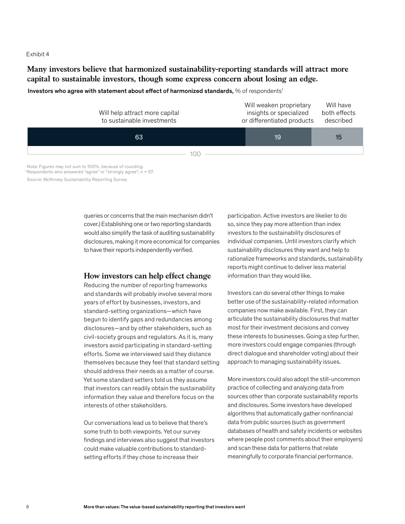#### Exhibit 4

**Many investors believe that harmonized sustainability-reporting standards will attract more capital to sustainable investors, though some express concern about losing an edge.**

Investors who agree with statement about effect of harmonized standards, % of respondents<sup>1</sup>



 Note: Figures may not sum to 100%, because of rounding. <sup>1</sup> Respondents who answered "agree" or "strongly agree";  $n = 57$ .

Source: McKinsey Sustainability Reporting Survey

queries or concerns that the main mechanism didn't cover.) Establishing one or two reporting standards would also simplify the task of auditing sustainability disclosures, making it more economical for companies to have their reports independently verified.

### **How investors can help effect change**

Reducing the number of reporting frameworks and standards will probably involve several more years of effort by businesses, investors, and standard-setting organizations—which have begun to identify gaps and redundancies among disclosures—and by other stakeholders, such as civil-society groups and regulators. As it is, many investors avoid participating in standard-setting efforts. Some we interviewed said they distance themselves because they feel that standard setting should address their needs as a matter of course. Yet some standard setters told us they assume that investors can readily obtain the sustainability information they value and therefore focus on the interests of other stakeholders.

Our conversations lead us to believe that there's some truth to both viewpoints. Yet our survey findings and interviews also suggest that investors could make valuable contributions to standardsetting efforts if they chose to increase their

participation. Active investors are likelier to do so, since they pay more attention than index investors to the sustainability disclosures of individual companies. Until investors clarify which sustainability disclosures they want and help to rationalize frameworks and standards, sustainability reports might continue to deliver less material information than they would like.

Investors can do several other things to make better use of the sustainability-related information companies now make available. First, they can articulate the sustainability disclosures that matter most for their investment decisions and convey these interests to businesses. Going a step further, more investors could engage companies (through direct dialogue and shareholder voting) about their approach to managing sustainability issues.

More investors could also adopt the still-uncommon practice of collecting and analyzing data from sources other than corporate sustainability reports and disclosures. Some investors have developed algorithms that automatically gather nonfinancial data from public sources (such as government databases of health and safety incidents or websites where people post comments about their employers) and scan these data for patterns that relate meaningfully to corporate financial performance.